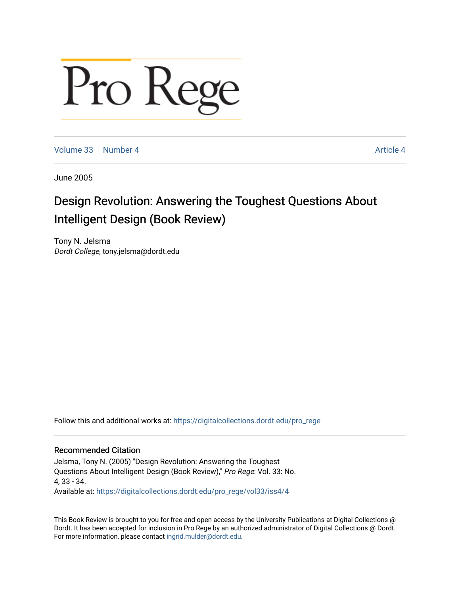## Pro Rege

[Volume 33](https://digitalcollections.dordt.edu/pro_rege/vol33) [Number 4](https://digitalcollections.dordt.edu/pro_rege/vol33/iss4) Article 4

June 2005

## Design Revolution: Answering the Toughest Questions About Intelligent Design (Book Review)

Tony N. Jelsma Dordt College, tony.jelsma@dordt.edu

Follow this and additional works at: [https://digitalcollections.dordt.edu/pro\\_rege](https://digitalcollections.dordt.edu/pro_rege?utm_source=digitalcollections.dordt.edu%2Fpro_rege%2Fvol33%2Fiss4%2F4&utm_medium=PDF&utm_campaign=PDFCoverPages) 

## Recommended Citation

Jelsma, Tony N. (2005) "Design Revolution: Answering the Toughest Questions About Intelligent Design (Book Review)," Pro Rege: Vol. 33: No. 4, 33 - 34. Available at: [https://digitalcollections.dordt.edu/pro\\_rege/vol33/iss4/4](https://digitalcollections.dordt.edu/pro_rege/vol33/iss4/4?utm_source=digitalcollections.dordt.edu%2Fpro_rege%2Fvol33%2Fiss4%2F4&utm_medium=PDF&utm_campaign=PDFCoverPages) 

This Book Review is brought to you for free and open access by the University Publications at Digital Collections @ Dordt. It has been accepted for inclusion in Pro Rege by an authorized administrator of Digital Collections @ Dordt. For more information, please contact [ingrid.mulder@dordt.edu](mailto:ingrid.mulder@dordt.edu).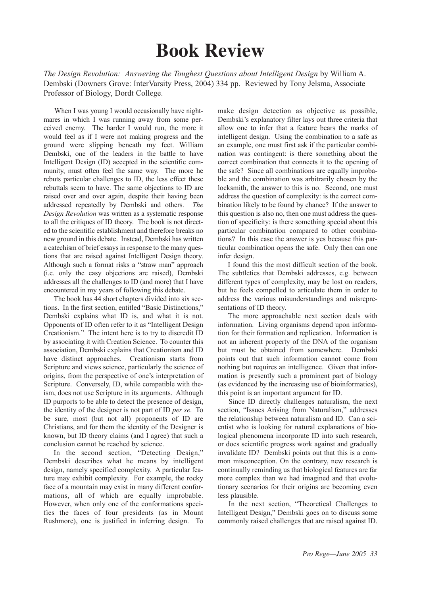## **Book Review**

*The Design Revolution: Answering the Toughest Questions about Intelligent Design* by William A. Dembski (Downers Grove: InterVarsity Press, 2004) 334 pp. Reviewed by Tony Jelsma, Associate Professor of Biology, Dordt College.

When I was young I would occasionally have nightmares in which I was running away from some perceived enemy. The harder I would run, the more it would feel as if I were not making progress and the ground were slipping beneath my feet. William Dembski, one of the leaders in the battle to have Intelligent Design (ID) accepted in the scientific community, must often feel the same way. The more he rebuts particular challenges to ID, the less effect these rebuttals seem to have. The same objections to ID are raised over and over again, despite their having been addressed repeatedly by Dembski and others. *The Design Revolution* was written as a systematic response to all the critiques of ID theory. The book is not directed to the scientific establishment and therefore breaks no new ground in this debate. Instead, Dembski has written a catechism of brief essays in response to the many questions that are raised against Intelligent Design theory. Although such a format risks a "straw man" approach (i.e. only the easy objections are raised), Dembski addresses all the challenges to ID (and more) that I have encountered in my years of following this debate.

The book has 44 short chapters divided into six sections. In the first section, entitled "Basic Distinctions," Dembski explains what ID is, and what it is not. Opponents of ID often refer to it as "Intelligent Design Creationism." The intent here is to try to discredit ID by associating it with Creation Science. To counter this association, Dembski explains that Creationism and ID have distinct approaches. Creationism starts from Scripture and views science, particularly the science of origins, from the perspective of one's interpretation of Scripture. Conversely, ID, while compatible with theism, does not use Scripture in its arguments. Although ID purports to be able to detect the presence of design, the identity of the designer is not part of ID *per se*. To be sure, most (but not all) proponents of ID are Christians, and for them the identity of the Designer is known, but ID theory claims (and I agree) that such a conclusion cannot be reached by science.

In the second section, "Detecting Design," Dembski describes what he means by intelligent design, namely specified complexity. A particular feature may exhibit complexity. For example, the rocky face of a mountain may exist in many different conformations, all of which are equally improbable. However, when only one of the conformations specifies the faces of four presidents (as in Mount Rushmore), one is justified in inferring design. To make design detection as objective as possible, Dembski's explanatory filter lays out three criteria that allow one to infer that a feature bears the marks of intelligent design. Using the combination to a safe as an example, one must first ask if the particular combination was contingent: is there something about the correct combination that connects it to the opening of the safe? Since all combinations are equally improbable and the combination was arbitrarily chosen by the locksmith, the answer to this is no. Second, one must address the question of complexity: is the correct combination likely to be found by chance? If the answer to this question is also no, then one must address the question of specificity: is there something special about this particular combination compared to other combinations? In this case the answer is yes because this particular combination opens the safe. Only then can one infer design.

I found this the most difficult section of the book. The subtleties that Dembski addresses, e.g. between different types of complexity, may be lost on readers, but he feels compelled to articulate them in order to address the various misunderstandings and misrepresentations of ID theory.

The more approachable next section deals with information. Living organisms depend upon information for their formation and replication. Information is not an inherent property of the DNA of the organism but must be obtained from somewhere. Dembski points out that such information cannot come from nothing but requires an intelligence. Given that information is presently such a prominent part of biology (as evidenced by the increasing use of bioinformatics), this point is an important argument for ID.

Since ID directly challenges naturalism, the next section, "Issues Arising from Naturalism," addresses the relationship between naturalism and ID. Can a scientist who is looking for natural explanations of biological phenomena incorporate ID into such research, or does scientific progress work against and gradually invalidate ID? Dembski points out that this is a common misconception. On the contrary, new research is continually reminding us that biological features are far more complex than we had imagined and that evolutionary scenarios for their origins are becoming even less plausible.

In the next section, "Theoretical Challenges to Intelligent Design," Dembski goes on to discuss some commonly raised challenges that are raised against ID.